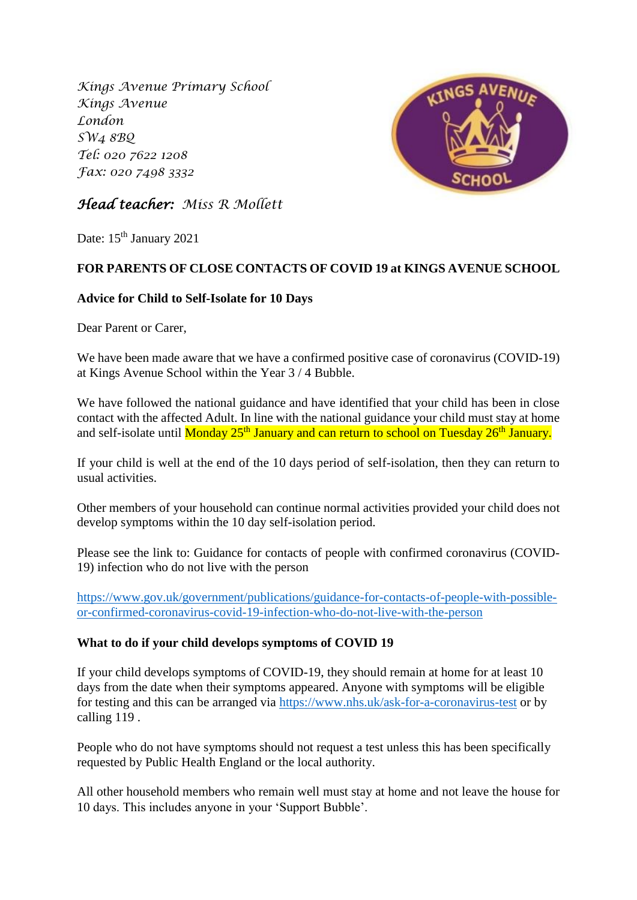*Kings Avenue Primary School Kings Avenue London SW4 8BQ Tel: 020 7622 1208 Fax: 020 7498 3332*



*Head teacher: Miss R Mollett*

Date: 15<sup>th</sup> January 2021

# **FOR PARENTS OF CLOSE CONTACTS OF COVID 19 at KINGS AVENUE SCHOOL**

# **Advice for Child to Self-Isolate for 10 Days**

Dear Parent or Carer,

We have been made aware that we have a confirmed positive case of coronavirus (COVID-19) at Kings Avenue School within the Year 3 / 4 Bubble.

We have followed the national guidance and have identified that your child has been in close contact with the affected Adult. In line with the national guidance your child must stay at home and self-isolate until Monday 25<sup>th</sup> January and can return to school on Tuesday 26<sup>th</sup> January.

If your child is well at the end of the 10 days period of self-isolation, then they can return to usual activities.

Other members of your household can continue normal activities provided your child does not develop symptoms within the 10 day self-isolation period.

Please see the link to: Guidance for contacts of people with confirmed coronavirus (COVID-19) infection who do not live with the person

[https://www.gov.uk/government/publications/guidance-for-contacts-of-people-with-possible](https://www.gov.uk/government/publications/guidance-for-contacts-of-people-with-possible-or-confirmed-coronavirus-covid-19-infection-who-do-not-live-with-the-person)[or-confirmed-coronavirus-covid-19-infection-who-do-not-live-with-the-person](https://www.gov.uk/government/publications/guidance-for-contacts-of-people-with-possible-or-confirmed-coronavirus-covid-19-infection-who-do-not-live-with-the-person)

### **What to do if your child develops symptoms of COVID 19**

If your child develops symptoms of COVID-19, they should remain at home for at least 10 days from the date when their symptoms appeared. Anyone with symptoms will be eligible for testing and this can be arranged via<https://www.nhs.uk/ask-for-a-coronavirus-test> or by calling 119 .

People who do not have symptoms should not request a test unless this has been specifically requested by Public Health England or the local authority.

All other household members who remain well must stay at home and not leave the house for 10 days. This includes anyone in your 'Support Bubble'.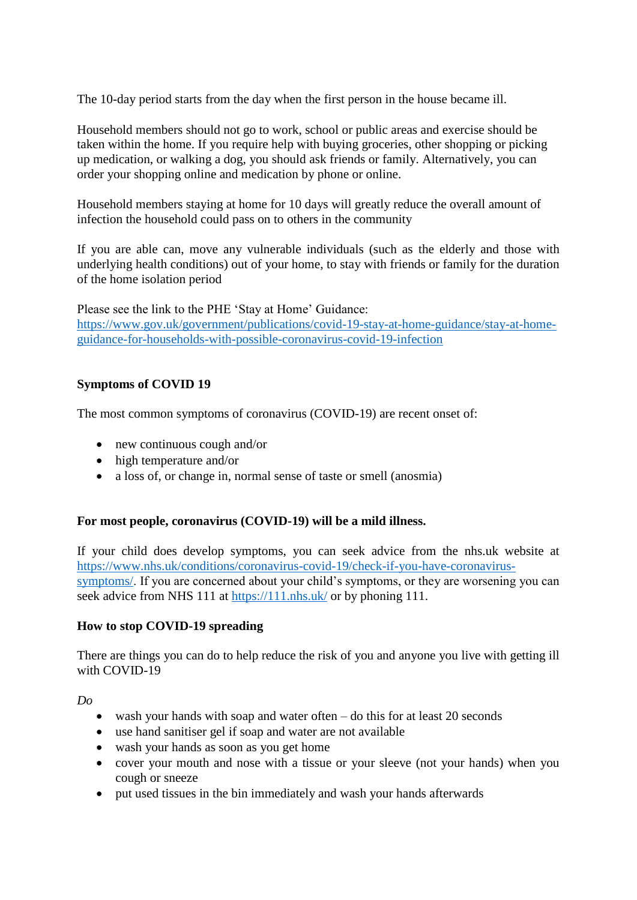The 10-day period starts from the day when the first person in the house became ill.

Household members should not go to work, school or public areas and exercise should be taken within the home. If you require help with buying groceries, other shopping or picking up medication, or walking a dog, you should ask friends or family. Alternatively, you can order your shopping online and medication by phone or online.

Household members staying at home for 10 days will greatly reduce the overall amount of infection the household could pass on to others in the community

If you are able can, move any vulnerable individuals (such as the elderly and those with underlying health conditions) out of your home, to stay with friends or family for the duration of the home isolation period

Please see the link to the PHE 'Stay at Home' Guidance: [https://www.gov.uk/government/publications/covid-19-stay-at-home-guidance/stay-at-home](https://www.gov.uk/government/publications/covid-19-stay-at-home-guidance/stay-at-home-guidance-for-households-with-possible-coronavirus-covid-19-infection)[guidance-for-households-with-possible-coronavirus-covid-19-infection](https://www.gov.uk/government/publications/covid-19-stay-at-home-guidance/stay-at-home-guidance-for-households-with-possible-coronavirus-covid-19-infection)

# **Symptoms of COVID 19**

The most common symptoms of coronavirus (COVID-19) are recent onset of:

- new continuous cough and/or
- high temperature and/or
- a loss of, or change in, normal sense of taste or smell (anosmia)

### **For most people, coronavirus (COVID-19) will be a mild illness.**

If your child does develop symptoms, you can seek advice from the nhs.uk website at [https://www.nhs.uk/conditions/coronavirus-covid-19/check-if-you-have-coronavirus](https://www.nhs.uk/conditions/coronavirus-covid-19/check-if-you-have-coronavirus-symptoms/)[symptoms/.](https://www.nhs.uk/conditions/coronavirus-covid-19/check-if-you-have-coronavirus-symptoms/) If you are concerned about your child's symptoms, or they are worsening you can seek advice from NHS 111 at<https://111.nhs.uk/> or by phoning 111.

### **How to stop COVID-19 spreading**

There are things you can do to help reduce the risk of you and anyone you live with getting ill with COVID-19

*Do*

- wash your hands with soap and water often do this for at least 20 seconds
- use hand sanitiser gel if soap and water are not available
- wash your hands as soon as you get home
- cover your mouth and nose with a tissue or your sleeve (not your hands) when you cough or sneeze
- put used tissues in the bin immediately and wash your hands afterwards